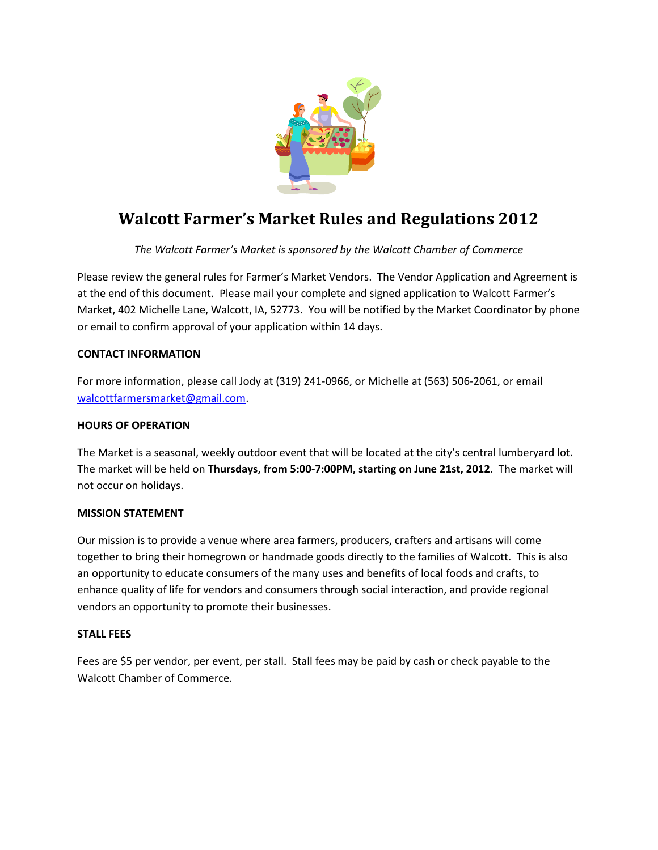

## **Walcott Farmer's Market Rules and Regulations 2012**

*The Walcott Farmer's Market is sponsored by the Walcott Chamber of Commerce*

Please review the general rules for Farmer's Market Vendors. The Vendor Application and Agreement is at the end of this document. Please mail your complete and signed application to Walcott Farmer's Market, 402 Michelle Lane, Walcott, IA, 52773. You will be notified by the Market Coordinator by phone or email to confirm approval of your application within 14 days.

## **CONTACT INFORMATION**

For more information, please call Jody at (319) 241-0966, or Michelle at (563) 506-2061, or email [walcottfarmersmarket@gmail.com.](mailto:walcottfarmersmarket@gmail.com)

## **HOURS OF OPERATION**

The Market is a seasonal, weekly outdoor event that will be located at the city's central lumberyard lot. The market will be held on **Thursdays, from 5:00-7:00PM, starting on June 21st, 2012**. The market will not occur on holidays.

## **MISSION STATEMENT**

Our mission is to provide a venue where area farmers, producers, crafters and artisans will come together to bring their homegrown or handmade goods directly to the families of Walcott. This is also an opportunity to educate consumers of the many uses and benefits of local foods and crafts, to enhance quality of life for vendors and consumers through social interaction, and provide regional vendors an opportunity to promote their businesses.

## **STALL FEES**

Fees are \$5 per vendor, per event, per stall. Stall fees may be paid by cash or check payable to the Walcott Chamber of Commerce.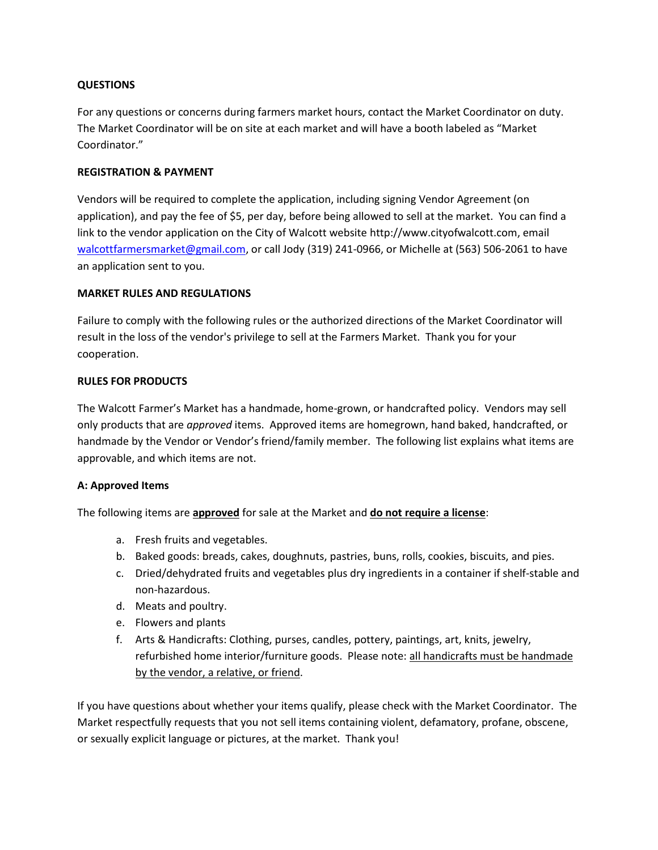## **QUESTIONS**

For any questions or concerns during farmers market hours, contact the Market Coordinator on duty. The Market Coordinator will be on site at each market and will have a booth labeled as "Market Coordinator."

## **REGISTRATION & PAYMENT**

Vendors will be required to complete the application, including signing Vendor Agreement (on application), and pay the fee of \$5, per day, before being allowed to sell at the market. You can find a link to the vendor application on the City of Walcott website http://www.cityofwalcott.com, email [walcottfarmersmarket@gmail.com,](mailto:walcottfarmersmarket@gmail.com) or call Jody (319) 241-0966, or Michelle at (563) 506-2061 to have an application sent to you.

## **MARKET RULES AND REGULATIONS**

Failure to comply with the following rules or the authorized directions of the Market Coordinator will result in the loss of the vendor's privilege to sell at the Farmers Market. Thank you for your cooperation.

## **RULES FOR PRODUCTS**

The Walcott Farmer's Market has a handmade, home-grown, or handcrafted policy. Vendors may sell only products that are *approved* items. Approved items are homegrown, hand baked, handcrafted, or handmade by the Vendor or Vendor's friend/family member. The following list explains what items are approvable, and which items are not.

## **A: Approved Items**

The following items are **approved** for sale at the Market and **do not require a license**:

- a. Fresh fruits and vegetables.
- b. Baked goods: breads, cakes, doughnuts, pastries, buns, rolls, cookies, biscuits, and pies.
- c. Dried/dehydrated fruits and vegetables plus dry ingredients in a container if shelf-stable and non-hazardous.
- d. Meats and poultry.
- e. Flowers and plants
- f. Arts & Handicrafts: Clothing, purses, candles, pottery, paintings, art, knits, jewelry, refurbished home interior/furniture goods. Please note: all handicrafts must be handmade by the vendor, a relative, or friend.

If you have questions about whether your items qualify, please check with the Market Coordinator. The Market respectfully requests that you not sell items containing violent, defamatory, profane, obscene, or sexually explicit language or pictures, at the market. Thank you!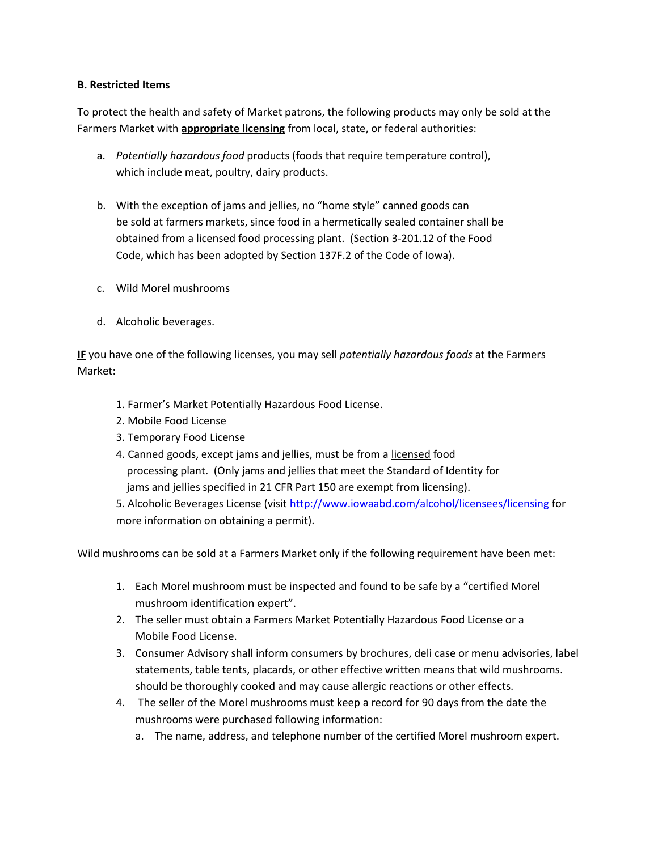## **B. Restricted Items**

To protect the health and safety of Market patrons, the following products may only be sold at the Farmers Market with **appropriate licensing** from local, state, or federal authorities:

- a. *Potentially hazardous food* products (foods that require temperature control), which include meat, poultry, dairy products.
- b. With the exception of jams and jellies, no "home style" canned goods can be sold at farmers markets, since food in a hermetically sealed container shall be obtained from a licensed food processing plant. (Section 3-201.12 of the Food Code, which has been adopted by Section 137F.2 of the Code of Iowa).
- c. Wild Morel mushrooms
- d. Alcoholic beverages.

**IF** you have one of the following licenses, you may sell *potentially hazardous foods* at the Farmers Market:

- 1. Farmer's Market Potentially Hazardous Food License.
- 2. Mobile Food License
- 3. Temporary Food License
- 4. Canned goods, except jams and jellies, must be from a licensed food processing plant. (Only jams and jellies that meet the Standard of Identity for jams and jellies specified in 21 CFR Part 150 are exempt from licensing).

5. Alcoholic Beverages License (visi[t http://www.iowaabd.com/alcohol/licensees/licensing](http://www.iowaabd.com/alcohol/licensees/licensing) for more information on obtaining a permit).

Wild mushrooms can be sold at a Farmers Market only if the following requirement have been met:

- 1. Each Morel mushroom must be inspected and found to be safe by a "certified Morel mushroom identification expert".
- 2. The seller must obtain a Farmers Market Potentially Hazardous Food License or a Mobile Food License.
- 3. Consumer Advisory shall inform consumers by brochures, deli case or menu advisories, label statements, table tents, placards, or other effective written means that wild mushrooms. should be thoroughly cooked and may cause allergic reactions or other effects.
- 4. The seller of the Morel mushrooms must keep a record for 90 days from the date the mushrooms were purchased following information:
	- a. The name, address, and telephone number of the certified Morel mushroom expert.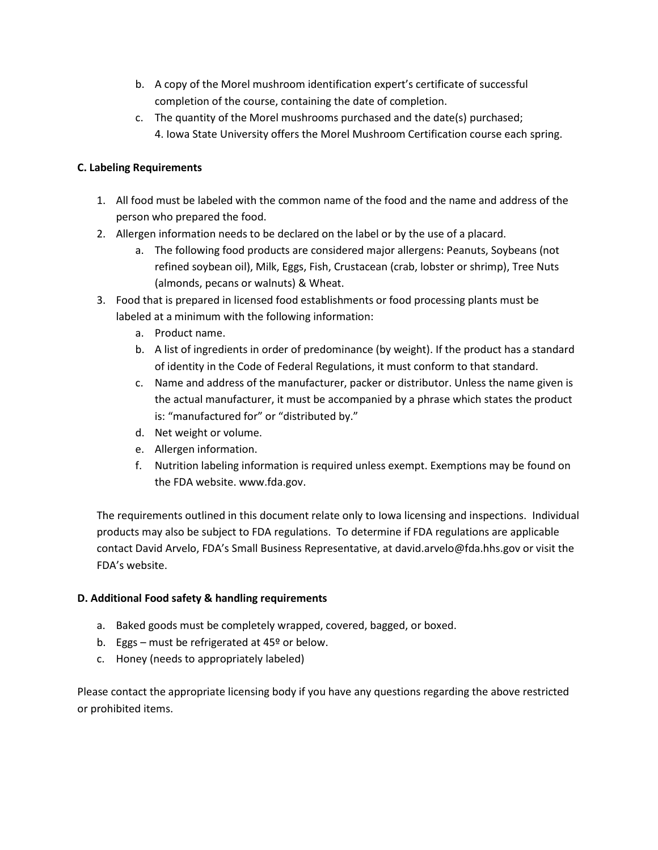- b. A copy of the Morel mushroom identification expert's certificate of successful completion of the course, containing the date of completion.
- c. The quantity of the Morel mushrooms purchased and the date(s) purchased; 4. Iowa State University offers the Morel Mushroom Certification course each spring.

## **C. Labeling Requirements**

- 1. All food must be labeled with the common name of the food and the name and address of the person who prepared the food.
- 2. Allergen information needs to be declared on the label or by the use of a placard.
	- a. The following food products are considered major allergens: Peanuts, Soybeans (not refined soybean oil), Milk, Eggs, Fish, Crustacean (crab, lobster or shrimp), Tree Nuts (almonds, pecans or walnuts) & Wheat.
- 3. Food that is prepared in licensed food establishments or food processing plants must be labeled at a minimum with the following information:
	- a. Product name.
	- b. A list of ingredients in order of predominance (by weight). If the product has a standard of identity in the Code of Federal Regulations, it must conform to that standard.
	- c. Name and address of the manufacturer, packer or distributor. Unless the name given is the actual manufacturer, it must be accompanied by a phrase which states the product is: "manufactured for" or "distributed by."
	- d. Net weight or volume.
	- e. Allergen information.
	- f. Nutrition labeling information is required unless exempt. Exemptions may be found on the FDA website. www.fda.gov.

The requirements outlined in this document relate only to Iowa licensing and inspections. Individual products may also be subject to FDA regulations. To determine if FDA regulations are applicable contact David Arvelo, FDA's Small Business Representative, at david.arvelo@fda.hhs.gov or visit the FDA's website.

## **D. Additional Food safety & handling requirements**

- a. Baked goods must be completely wrapped, covered, bagged, or boxed.
- b. Eggs must be refrigerated at 45º or below.
- c. Honey (needs to appropriately labeled)

Please contact the appropriate licensing body if you have any questions regarding the above restricted or prohibited items.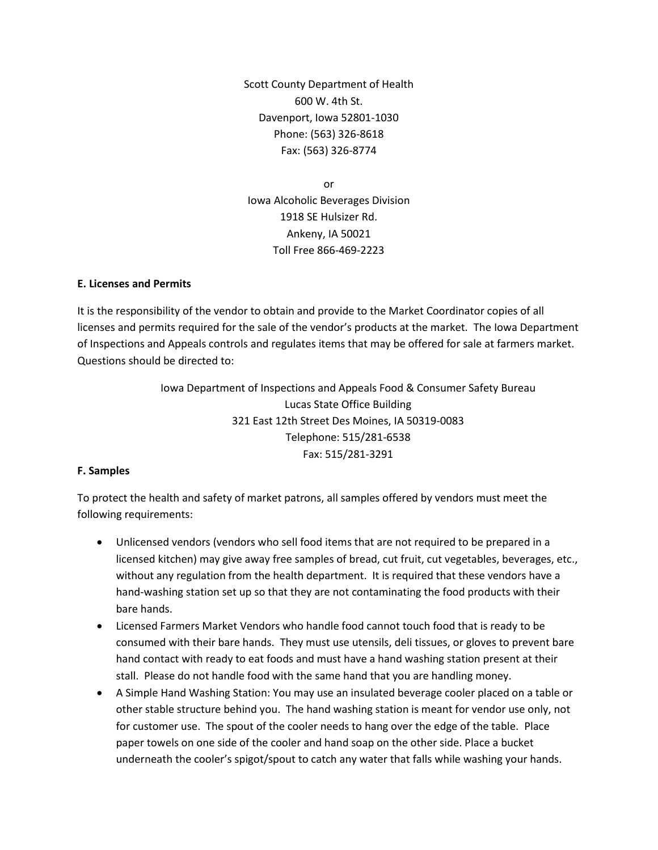Scott County Department of Health 600 W. 4th St. Davenport, Iowa 52801-1030 Phone: (563) 326-8618 Fax: (563) 326-8774

or Iowa Alcoholic Beverages Division 1918 SE Hulsizer Rd. Ankeny, IA 50021 Toll Free 866-469-2223

#### **E. Licenses and Permits**

It is the responsibility of the vendor to obtain and provide to the Market Coordinator copies of all licenses and permits required for the sale of the vendor's products at the market. The Iowa Department of Inspections and Appeals controls and regulates items that may be offered for sale at farmers market. Questions should be directed to:

> Iowa Department of Inspections and Appeals Food & Consumer Safety Bureau Lucas State Office Building 321 East 12th Street Des Moines, IA 50319-0083 Telephone: 515/281-6538 Fax: 515/281-3291

## **F. Samples**

To protect the health and safety of market patrons, all samples offered by vendors must meet the following requirements:

- Unlicensed vendors (vendors who sell food items that are not required to be prepared in a licensed kitchen) may give away free samples of bread, cut fruit, cut vegetables, beverages, etc., without any regulation from the health department. It is required that these vendors have a hand-washing station set up so that they are not contaminating the food products with their bare hands.
- Licensed Farmers Market Vendors who handle food cannot touch food that is ready to be consumed with their bare hands. They must use utensils, deli tissues, or gloves to prevent bare hand contact with ready to eat foods and must have a hand washing station present at their stall. Please do not handle food with the same hand that you are handling money.
- A Simple Hand Washing Station: You may use an insulated beverage cooler placed on a table or other stable structure behind you. The hand washing station is meant for vendor use only, not for customer use. The spout of the cooler needs to hang over the edge of the table. Place paper towels on one side of the cooler and hand soap on the other side. Place a bucket underneath the cooler's spigot/spout to catch any water that falls while washing your hands.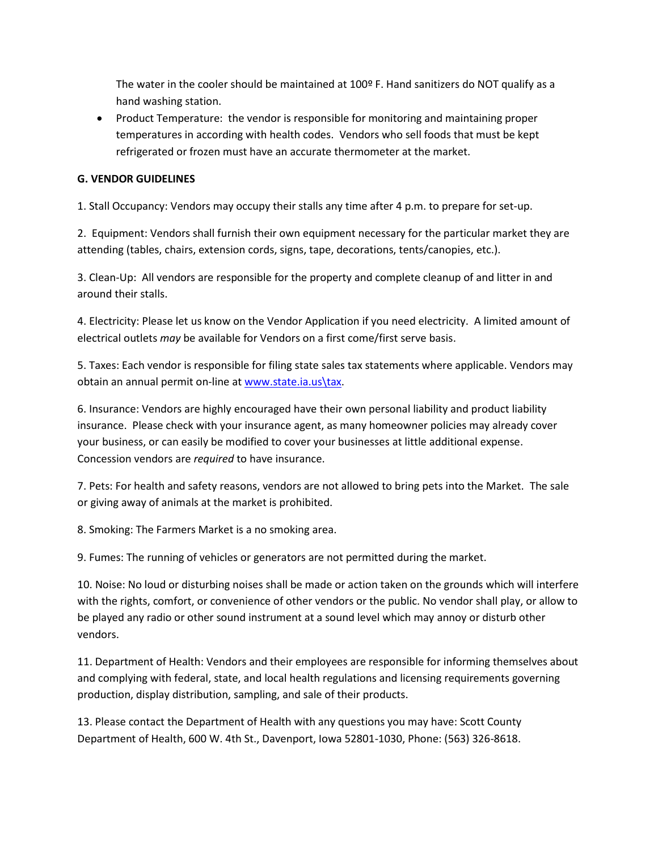The water in the cooler should be maintained at 100º F. Hand sanitizers do NOT qualify as a hand washing station.

• Product Temperature: the vendor is responsible for monitoring and maintaining proper temperatures in according with health codes. Vendors who sell foods that must be kept refrigerated or frozen must have an accurate thermometer at the market.

## **G. VENDOR GUIDELINES**

1. Stall Occupancy: Vendors may occupy their stalls any time after 4 p.m. to prepare for set-up.

2. Equipment: Vendors shall furnish their own equipment necessary for the particular market they are attending (tables, chairs, extension cords, signs, tape, decorations, tents/canopies, etc.).

3. Clean-Up: All vendors are responsible for the property and complete cleanup of and litter in and around their stalls.

4. Electricity: Please let us know on the Vendor Application if you need electricity. A limited amount of electrical outlets *may* be available for Vendors on a first come/first serve basis.

5. Taxes: Each vendor is responsible for filing state sales tax statements where applicable. Vendors may obtain an annual permit on-line a[t www.state.ia.us\tax.](http://www.state.ia.us/tax)

6. Insurance: Vendors are highly encouraged have their own personal liability and product liability insurance. Please check with your insurance agent, as many homeowner policies may already cover your business, or can easily be modified to cover your businesses at little additional expense. Concession vendors are *required* to have insurance.

7. Pets: For health and safety reasons, vendors are not allowed to bring pets into the Market. The sale or giving away of animals at the market is prohibited.

8. Smoking: The Farmers Market is a no smoking area.

9. Fumes: The running of vehicles or generators are not permitted during the market.

10. Noise: No loud or disturbing noises shall be made or action taken on the grounds which will interfere with the rights, comfort, or convenience of other vendors or the public. No vendor shall play, or allow to be played any radio or other sound instrument at a sound level which may annoy or disturb other vendors.

11. Department of Health: Vendors and their employees are responsible for informing themselves about and complying with federal, state, and local health regulations and licensing requirements governing production, display distribution, sampling, and sale of their products.

13. Please contact the Department of Health with any questions you may have: Scott County Department of Health, 600 W. 4th St., Davenport, Iowa 52801-1030, Phone: (563) 326-8618.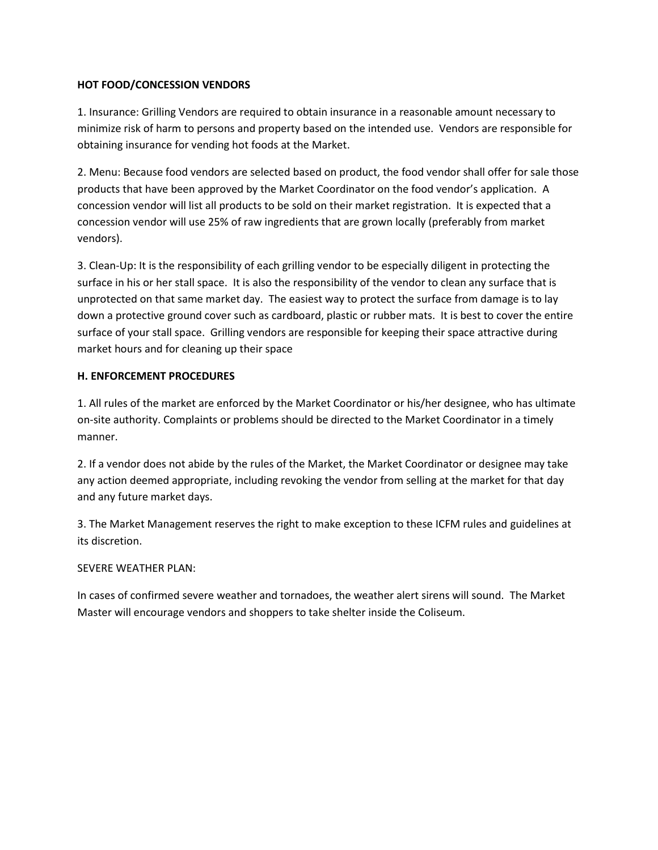## **HOT FOOD/CONCESSION VENDORS**

1. Insurance: Grilling Vendors are required to obtain insurance in a reasonable amount necessary to minimize risk of harm to persons and property based on the intended use. Vendors are responsible for obtaining insurance for vending hot foods at the Market.

2. Menu: Because food vendors are selected based on product, the food vendor shall offer for sale those products that have been approved by the Market Coordinator on the food vendor's application. A concession vendor will list all products to be sold on their market registration. It is expected that a concession vendor will use 25% of raw ingredients that are grown locally (preferably from market vendors).

3. Clean-Up: It is the responsibility of each grilling vendor to be especially diligent in protecting the surface in his or her stall space. It is also the responsibility of the vendor to clean any surface that is unprotected on that same market day. The easiest way to protect the surface from damage is to lay down a protective ground cover such as cardboard, plastic or rubber mats. It is best to cover the entire surface of your stall space. Grilling vendors are responsible for keeping their space attractive during market hours and for cleaning up their space

## **H. ENFORCEMENT PROCEDURES**

1. All rules of the market are enforced by the Market Coordinator or his/her designee, who has ultimate on-site authority. Complaints or problems should be directed to the Market Coordinator in a timely manner.

2. If a vendor does not abide by the rules of the Market, the Market Coordinator or designee may take any action deemed appropriate, including revoking the vendor from selling at the market for that day and any future market days.

3. The Market Management reserves the right to make exception to these ICFM rules and guidelines at its discretion.

## SEVERE WEATHER PLAN:

In cases of confirmed severe weather and tornadoes, the weather alert sirens will sound. The Market Master will encourage vendors and shoppers to take shelter inside the Coliseum.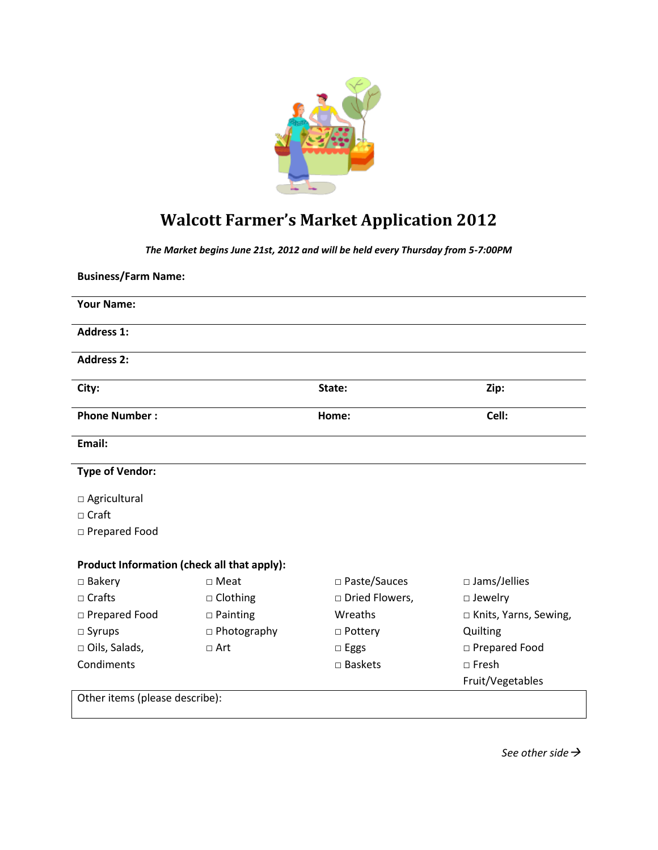

# **Walcott Farmer's Market Application 2012**

*The Market begins June 21st, 2012 and will be held every Thursday from 5-7:00PM*

| <b>Business/Farm Name:</b>                  |                    |                  |                         |
|---------------------------------------------|--------------------|------------------|-------------------------|
| <b>Your Name:</b>                           |                    |                  |                         |
| <b>Address 1:</b>                           |                    |                  |                         |
| <b>Address 2:</b>                           |                    |                  |                         |
| City:                                       |                    | State:           | Zip:                    |
| <b>Phone Number:</b>                        |                    | Home:            | Cell:                   |
| Email:                                      |                    |                  |                         |
| <b>Type of Vendor:</b>                      |                    |                  |                         |
| □ Agricultural                              |                    |                  |                         |
| $\Box$ Craft                                |                    |                  |                         |
| □ Prepared Food                             |                    |                  |                         |
| Product Information (check all that apply): |                    |                  |                         |
| $\Box$ Bakery                               | $\Box$ Meat        | □ Paste/Sauces   | $\square$ Jams/Jellies  |
| $\Box$ Crafts                               | $\Box$ Clothing    | □ Dried Flowers, | $\square$ Jewelry       |
| □ Prepared Food                             | $\square$ Painting | Wreaths          | □ Knits, Yarns, Sewing, |
| $\square$ Syrups                            | □ Photography      | $\Box$ Pottery   | Quilting                |
| □ Oils, Salads,                             | $\Box$ Art         | $\square$ Eggs   | □ Prepared Food         |
| Condiments                                  |                    | □ Baskets        | $\Box$ Fresh            |
|                                             |                    |                  | Fruit/Vegetables        |
| Other items (please describe):              |                    |                  |                         |

*See other side*